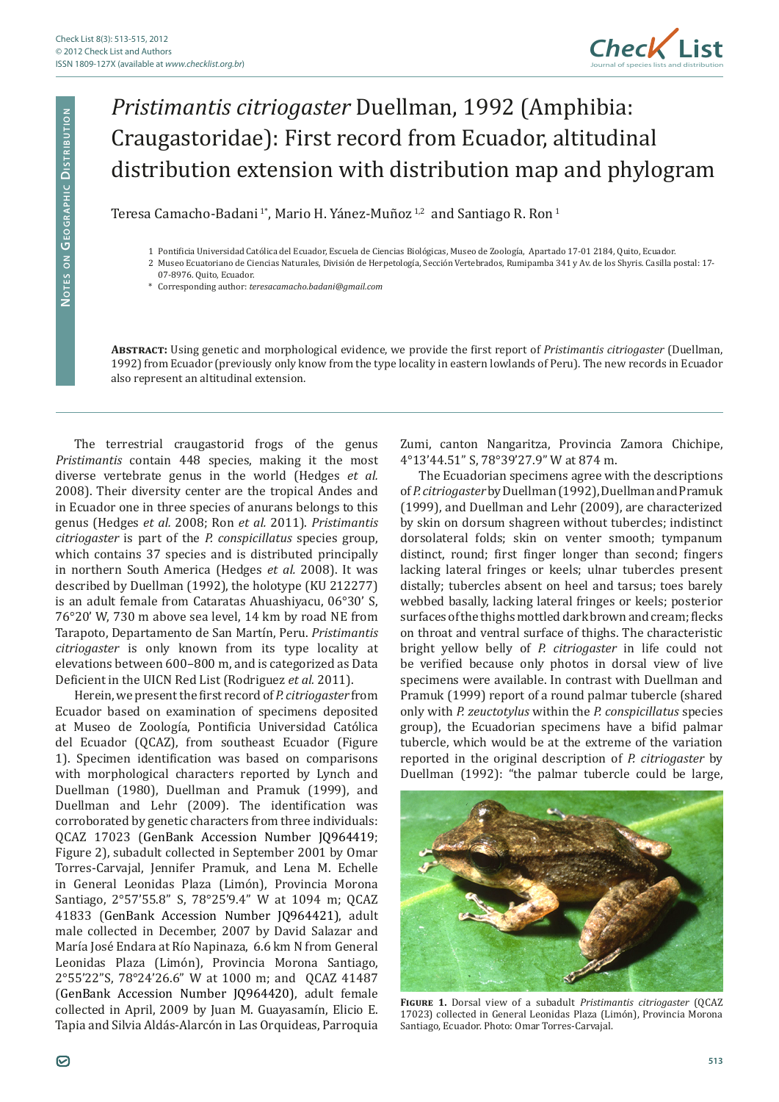

## *Pristimantis citriogaster* Duellman, 1992 (Amphibia: Craugastoridae): First record from Ecuador, altitudinal distribution extension with distribution map and phylogram

Teresa Camacho-Badani<sup>1\*</sup>, Mario H. Yánez-Muñoz<sup>1,2</sup> and Santiago R. Ron<sup>1</sup>

- 1 Pontificia Universidad Católica del Ecuador, Escuela de Ciencias Biológicas, Museo de Zoología, Apartado 17-01 2184, Quito, Ecuador.
- 2 Museo Ecuatoriano de Ciencias Naturales, División de Herpetología, Sección Vertebrados, Rumipamba 341 y Av. de los Shyris. Casilla postal: 17-
	- 07-8976. Quito, Ecuador.
	- \* Corresponding author: *teresacamacho.badani@gmail.com*

**Abstract:** Using genetic and morphological evidence, we provide the first report of *Pristimantis citriogaster* (Duellman, 1992) from Ecuador (previously only know from the type locality in eastern lowlands of Peru). The new records in Ecuador also represent an altitudinal extension.

The terrestrial craugastorid frogs of the genus *Pristimantis* contain 448 species, making it the most diverse vertebrate genus in the world (Hedges *et al.*  2008). Their diversity center are the tropical Andes and in Ecuador one in three species of anurans belongs to this genus (Hedges *et al.* 2008; Ron *et al.* 2011). *Pristimantis citriogaster* is part of the *P. conspicillatus* species group, which contains 37 species and is distributed principally in northern South America (Hedges *et al.* 2008). It was described by Duellman (1992), the holotype (KU 212277) is an adult female from Cataratas Ahuashiyacu, 06°30' S, 76°20' W, 730 m above sea level, 14 km by road NE from Tarapoto, Departamento de San Martín, Peru. *Pristimantis citriogaster* is only known from its type locality at elevations between 600–800 m, and is categorized as Data Deficient in the UICN Red List (Rodriguez *et al.* 2011).

Herein, we present the first record of *P. citriogaster* from Ecuador based on examination of specimens deposited at Museo de Zoología, Pontificia Universidad Católica del Ecuador (QCAZ), from southeast Ecuador (Figure 1). Specimen identification was based on comparisons with morphological characters reported by Lynch and Duellman (1980), Duellman and Pramuk (1999), and Duellman and Lehr (2009). The identification was corroborated by genetic characters from three individuals: QCAZ 17023 (GenBank Accession Number JQ964419; Figure 2), subadult collected in September 2001 by Omar Torres-Carvajal, Jennifer Pramuk, and Lena M. Echelle in General Leonidas Plaza (Limón), Provincia Morona Santiago, 2°57'55.8" S, 78°25'9.4" W at 1094 m; QCAZ 41833 (GenBank Accession Number JQ964421), adult male collected in December, 2007 by David Salazar and María José Endara at Río Napinaza, 6.6 km N from General Leonidas Plaza (Limón), Provincia Morona Santiago, 2°55'22"S, 78°24'26.6" W at 1000 m; and QCAZ 41487 (GenBank Accession Number JQ964420), adult female collected in April, 2009 by Juan M. Guayasamín, Elicio E. Tapia and Silvia Aldás-Alarcón in Las Orquideas, Parroquia

Zumi, canton Nangaritza, Provincia Zamora Chichipe, 4°13'44.51" S, 78°39'27.9" W at 874 m.

The Ecuadorian specimens agree with the descriptions of *P. citriogaster* by Duellman (1992), Duellman and Pramuk (1999), and Duellman and Lehr (2009), are characterized by skin on dorsum shagreen without tubercles; indistinct dorsolateral folds; skin on venter smooth; tympanum distinct, round; first finger longer than second; fingers lacking lateral fringes or keels; ulnar tubercles present distally; tubercles absent on heel and tarsus; toes barely webbed basally, lacking lateral fringes or keels; posterior surfaces of the thighs mottled dark brown and cream; flecks on throat and ventral surface of thighs. The characteristic bright yellow belly of *P. citriogaster* in life could not be verified because only photos in dorsal view of live specimens were available. In contrast with Duellman and Pramuk (1999) report of a round palmar tubercle (shared only with *P. zeuctotylus* within the *P. conspicillatus* species group), the Ecuadorian specimens have a bifid palmar tubercle, which would be at the extreme of the variation reported in the original description of *P. citriogaster* by Duellman (1992): "the palmar tubercle could be large,



**Figure 1.** Dorsal view of a subadult *Pristimantis citriogaster* (QCAZ 17023) collected in General Leonidas Plaza (Limón), Provincia Morona Santiago, Ecuador. Photo: Omar Torres-Carvajal.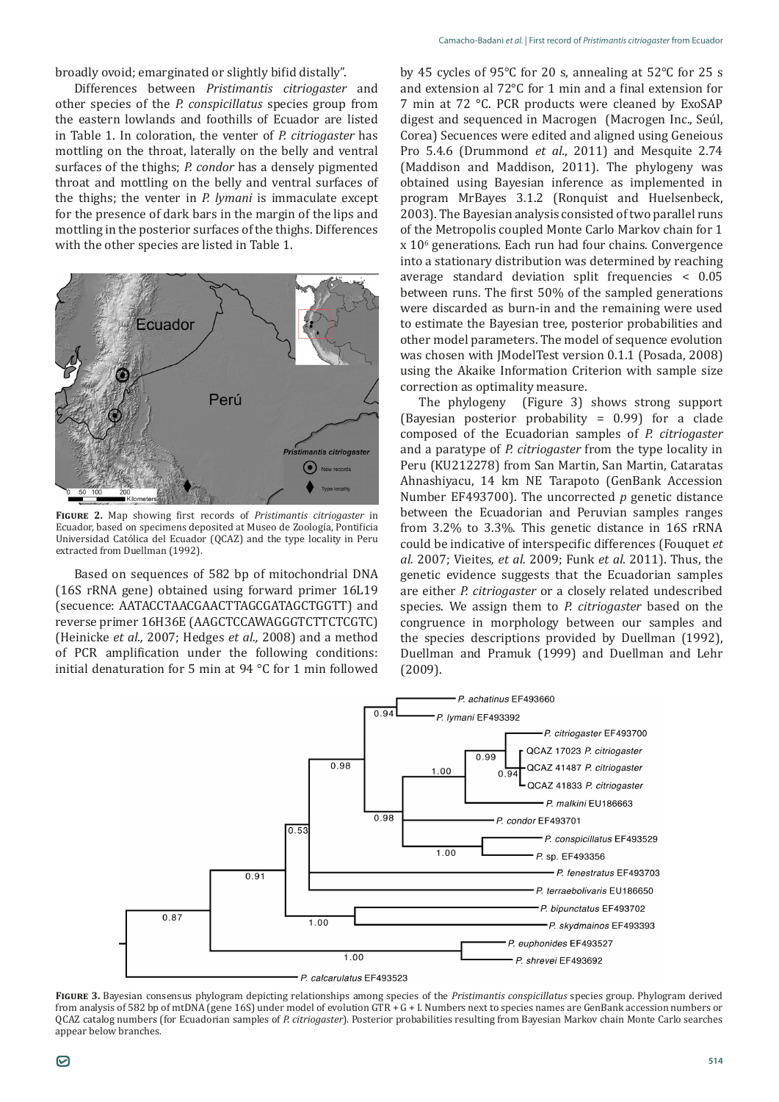broadly ovoid; emarginated or slightly bifid distally".

Differences between *Pristimantis citriogaster* and other species of the *P. conspicillatus* species group from the eastern lowlands and foothills of Ecuador are listed in Table 1. In coloration, the venter of *P. citriogaster* has mottling on the throat, laterally on the belly and ventral surfaces of the thighs; *P. condor* has a densely pigmented throat and mottling on the belly and ventral surfaces of the thighs; the venter in *P. lymani* is immaculate except for the presence of dark bars in the margin of the lips and mottling in the posterior surfaces of the thighs. Differences with the other species are listed in Table 1.



**Figure 2.** Map showing first records of *Pristimantis citriogaster* in Ecuador, based on specimens deposited at Museo de Zoología, Pontificia Universidad Católica del Ecuador (QCAZ) and the type locality in Peru extracted from Duellman (1992).

Based on sequences of 582 bp of mitochondrial DNA (16S rRNA gene) obtained using forward primer 16L19 (secuence: AATACCTAACGAACTTAGCGATAGCTGGTT) and reverse primer 16H36E (AAGCTCCAWAGGGTCTTCTCGTC) (Heinicke *et al.,* 2007; Hedges *et al.,* 2008) and a method of PCR amplification under the following conditions: initial denaturation for 5 min at 94 °C for 1 min followed by 45 cycles of 95°C for 20 s, annealing at 52°C for 25 s and extension al 72°C for 1 min and a final extension for 7 min at 72 °C. PCR products were cleaned by ExoSAP digest and sequenced in Macrogen (Macrogen Inc., Seúl, Corea) Secuences were edited and aligned using Geneious Pro 5.4.6 (Drummond *et al.*, 2011) and Mesquite 2.74 (Maddison and Maddison, 2011). The phylogeny was obtained using Bayesian inference as implemented in program MrBayes 3.1.2 (Ronquist and Huelsenbeck, 2003). The Bayesian analysis consisted of two parallel runs of the Metropolis coupled Monte Carlo Markov chain for 1 x 106 generations. Each run had four chains. Convergence into a stationary distribution was determined by reaching average standard deviation split frequencies < 0.05 between runs. The first 50% of the sampled generations were discarded as burn-in and the remaining were used to estimate the Bayesian tree, posterior probabilities and other model parameters. The model of sequence evolution was chosen with JModelTest version 0.1.1 (Posada, 2008) using the Akaike Information Criterion with sample size correction as optimality measure.

The phylogeny (Figure 3) shows strong support (Bayesian posterior probability = 0.99) for a clade composed of the Ecuadorian samples of *P. citriogaster* and a paratype of *P. citriogaster* from the type locality in Peru (KU212278) from San Martin, San Martin, Cataratas Ahnashiyacu, 14 km NE Tarapoto (GenBank Accession Number EF493700). The uncorrected *p* genetic distance between the Ecuadorian and Peruvian samples ranges from 3.2% to 3.3%. This genetic distance in 16S rRNA could be indicative of interspecific differences (Fouquet *et al.* 2007; Vieites*, et al.* 2009; Funk *et al.* 2011). Thus, the genetic evidence suggests that the Ecuadorian samples are either *P. citriogaster* or a closely related undescribed species. We assign them to *P. citriogaster* based on the congruence in morphology between our samples and the species descriptions provided by Duellman (1992), Duellman and Pramuk (1999) and Duellman and Lehr (2009).



**Figure 3.** Bayesian consensus phylogram depicting relationships among species of the *Pristimantis conspicillatus* species group. Phylogram derived from analysis of 582 bp of mtDNA (gene 16S) under model of evolution GTR + G + I. Numbers next to species names are GenBank accession numbers or QCAZ catalog numbers (for Ecuadorian samples of *P. citriogaster*). Posterior probabilities resulting from Bayesian Markov chain Monte Carlo searches appear below branches.